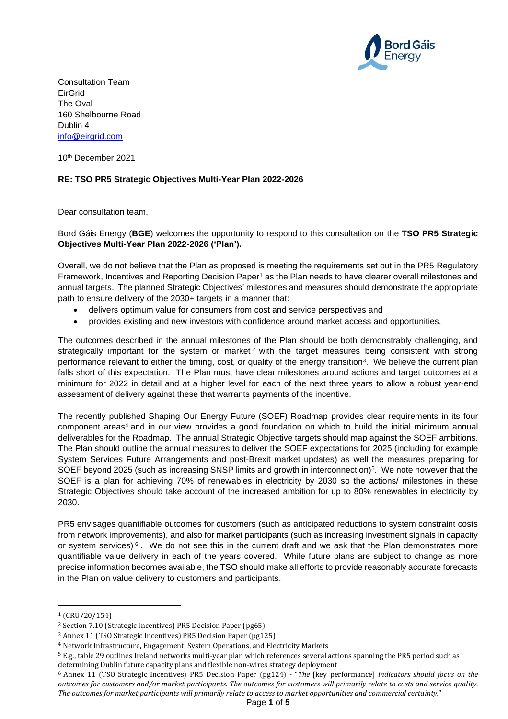

Consultation Team EirGrid The Oval 160 Shelbourne Road Dublin 4 [info@eirgrid.com](mailto:info@eirgrid.com)

10th December 2021

## **RE: TSO PR5 Strategic Objectives Multi-Year Plan 2022-2026**

Dear consultation team,

Bord Gáis Energy (**BGE**) welcomes the opportunity to respond to this consultation on the **TSO PR5 Strategic Objectives Multi-Year Plan 2022-2026 ('Plan').** 

Overall, we do not believe that the Plan as proposed is meeting the requirements set out in the PR5 Regulatory Framework, Incentives and Reporting Decision Paper<sup>1</sup> as the Plan needs to have clearer overall milestones and annual targets. The planned Strategic Objectives' milestones and measures should demonstrate the appropriate path to ensure delivery of the 2030+ targets in a manner that:

- delivers optimum value for consumers from cost and service perspectives and
- provides existing and new investors with confidence around market access and opportunities.

The outcomes described in the annual milestones of the Plan should be both demonstrably challenging, and strategically important for the system or market<sup>2</sup> with the target measures being consistent with strong performance relevant to either the timing, cost, or quality of the energy transition<sup>3</sup>. We believe the current plan falls short of this expectation. The Plan must have clear milestones around actions and target outcomes at a minimum for 2022 in detail and at a higher level for each of the next three years to allow a robust year-end assessment of delivery against these that warrants payments of the incentive.

The recently published Shaping Our Energy Future (SOEF) Roadmap provides clear requirements in its four component areas<sup>4</sup> and in our view provides a good foundation on which to build the initial minimum annual deliverables for the Roadmap. The annual Strategic Objective targets should map against the SOEF ambitions. The Plan should outline the annual measures to deliver the SOEF expectations for 2025 (including for example System Services Future Arrangements and post-Brexit market updates) as well the measures preparing for SOEF beyond 2025 (such as increasing SNSP limits and growth in interconnection)<sup>5</sup> . We note however that the SOEF is a plan for achieving 70% of renewables in electricity by 2030 so the actions/ milestones in these Strategic Objectives should take account of the increased ambition for up to 80% renewables in electricity by 2030.

PR5 envisages quantifiable outcomes for customers (such as anticipated reductions to system constraint costs from network improvements), and also for market participants (such as increasing investment signals in capacity or system services)  $6$ . We do not see this in the current draft and we ask that the Plan demonstrates more quantifiable value delivery in each of the years covered. While future plans are subject to change as more precise information becomes available, the TSO should make all efforts to provide reasonably accurate forecasts in the Plan on value delivery to customers and participants.

 $1$  (CRU/20/154)

<sup>2</sup> Section 7.10 (Strategic Incentives) PR5 Decision Paper (pg65)

<sup>3</sup> Annex 11 (TSO Strategic Incentives) PR5 Decision Paper (pg125)

<sup>4</sup> Network Infrastructure, Engagement, System Operations, and Electricity Markets

<sup>5</sup> E.g., table 29 outlines Ireland networks multi-year plan which references several actions spanning the PR5 period such as determining Dublin future capacity plans and flexible non-wires strategy deployment

<sup>6</sup> Annex 11 (TSO Strategic Incentives) PR5 Decision Paper (pg124) - "*The* [key performance] *indicators should focus on the outcomes for customers and/or market participants. The outcomes for customers will primarily relate to costs and service quality. The outcomes for market participants will primarily relate to access to market opportunities and commercial certainty.*"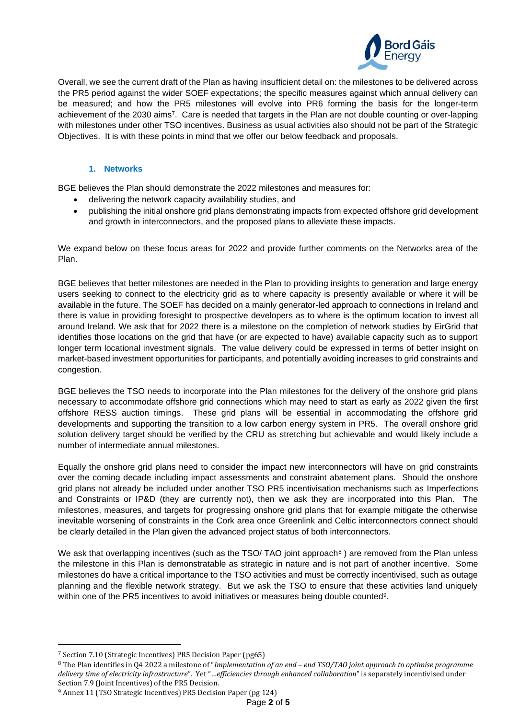

Overall, we see the current draft of the Plan as having insufficient detail on: the milestones to be delivered across the PR5 period against the wider SOEF expectations; the specific measures against which annual delivery can be measured; and how the PR5 milestones will evolve into PR6 forming the basis for the longer-term achievement of the 2030 aims<sup>7</sup>. Care is needed that targets in the Plan are not double counting or over-lapping with milestones under other TSO incentives. Business as usual activities also should not be part of the Strategic Objectives. It is with these points in mind that we offer our below feedback and proposals.

## **1. Networks**

BGE believes the Plan should demonstrate the 2022 milestones and measures for:

- delivering the network capacity availability studies, and
- publishing the initial onshore grid plans demonstrating impacts from expected offshore grid development and growth in interconnectors, and the proposed plans to alleviate these impacts.

We expand below on these focus areas for 2022 and provide further comments on the Networks area of the Plan.

BGE believes that better milestones are needed in the Plan to providing insights to generation and large energy users seeking to connect to the electricity grid as to where capacity is presently available or where it will be available in the future. The SOEF has decided on a mainly generator-led approach to connections in Ireland and there is value in providing foresight to prospective developers as to where is the optimum location to invest all around Ireland. We ask that for 2022 there is a milestone on the completion of network studies by EirGrid that identifies those locations on the grid that have (or are expected to have) available capacity such as to support longer term locational investment signals. The value delivery could be expressed in terms of better insight on market-based investment opportunities for participants, and potentially avoiding increases to grid constraints and congestion.

BGE believes the TSO needs to incorporate into the Plan milestones for the delivery of the onshore grid plans necessary to accommodate offshore grid connections which may need to start as early as 2022 given the first offshore RESS auction timings. These grid plans will be essential in accommodating the offshore grid developments and supporting the transition to a low carbon energy system in PR5. The overall onshore grid solution delivery target should be verified by the CRU as stretching but achievable and would likely include a number of intermediate annual milestones.

Equally the onshore grid plans need to consider the impact new interconnectors will have on grid constraints over the coming decade including impact assessments and constraint abatement plans. Should the onshore grid plans not already be included under another TSO PR5 incentivisation mechanisms such as Imperfections and Constraints or IP&D (they are currently not), then we ask they are incorporated into this Plan. The milestones, measures, and targets for progressing onshore grid plans that for example mitigate the otherwise inevitable worsening of constraints in the Cork area once Greenlink and Celtic interconnectors connect should be clearly detailed in the Plan given the advanced project status of both interconnectors.

We ask that overlapping incentives (such as the TSO/ TAO joint approach<sup>8</sup>) are removed from the Plan unless the milestone in this Plan is demonstratable as strategic in nature and is not part of another incentive. Some milestones do have a critical importance to the TSO activities and must be correctly incentivised, such as outage planning and the flexible network strategy. But we ask the TSO to ensure that these activities land uniquely within one of the PR5 incentives to avoid initiatives or measures being double counted<sup>9</sup>.

<sup>7</sup> Section 7.10 (Strategic Incentives) PR5 Decision Paper (pg65)

<sup>8</sup> The Plan identifies in Q4 2022 a milestone of "*Implementation of an end – end TSO/TAO joint approach to optimise programme delivery time of electricity infrastructure*". Yet "…*efficiencies through enhanced collaboration*" is separately incentivised under Section 7.9 (Joint Incentives) of the PR5 Decision.

<sup>9</sup> Annex 11 (TSO Strategic Incentives) PR5 Decision Paper (pg 124)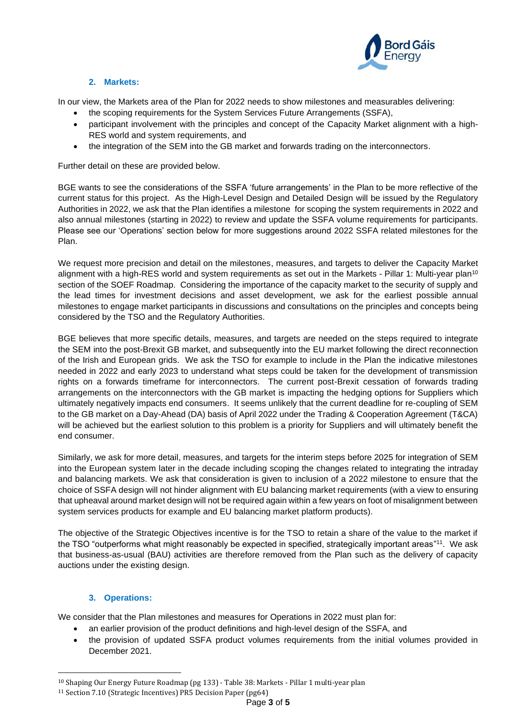

# **2. Markets:**

In our view, the Markets area of the Plan for 2022 needs to show milestones and measurables delivering:

- the scoping requirements for the System Services Future Arrangements (SSFA),
- participant involvement with the principles and concept of the Capacity Market alignment with a high-RES world and system requirements, and
- the integration of the SEM into the GB market and forwards trading on the interconnectors.

Further detail on these are provided below.

BGE wants to see the considerations of the SSFA 'future arrangements' in the Plan to be more reflective of the current status for this project. As the High-Level Design and Detailed Design will be issued by the Regulatory Authorities in 2022, we ask that the Plan identifies a milestone for scoping the system requirements in 2022 and also annual milestones (starting in 2022) to review and update the SSFA volume requirements for participants. Please see our 'Operations' section below for more suggestions around 2022 SSFA related milestones for the Plan.

We request more precision and detail on the milestones, measures, and targets to deliver the Capacity Market alignment with a high-RES world and system requirements as set out in the Markets - Pillar 1: Multi-year plan<sup>10</sup> section of the SOEF Roadmap. Considering the importance of the capacity market to the security of supply and the lead times for investment decisions and asset development, we ask for the earliest possible annual milestones to engage market participants in discussions and consultations on the principles and concepts being considered by the TSO and the Regulatory Authorities.

BGE believes that more specific details, measures, and targets are needed on the steps required to integrate the SEM into the post-Brexit GB market, and subsequently into the EU market following the direct reconnection of the Irish and European grids. We ask the TSO for example to include in the Plan the indicative milestones needed in 2022 and early 2023 to understand what steps could be taken for the development of transmission rights on a forwards timeframe for interconnectors. The current post-Brexit cessation of forwards trading arrangements on the interconnectors with the GB market is impacting the hedging options for Suppliers which ultimately negatively impacts end consumers. It seems unlikely that the current deadline for re-coupling of SEM to the GB market on a Day-Ahead (DA) basis of April 2022 under the Trading & Cooperation Agreement (T&CA) will be achieved but the earliest solution to this problem is a priority for Suppliers and will ultimately benefit the end consumer.

Similarly, we ask for more detail, measures, and targets for the interim steps before 2025 for integration of SEM into the European system later in the decade including scoping the changes related to integrating the intraday and balancing markets. We ask that consideration is given to inclusion of a 2022 milestone to ensure that the choice of SSFA design will not hinder alignment with EU balancing market requirements (with a view to ensuring that upheaval around market design will not be required again within a few years on foot of misalignment between system services products for example and EU balancing market platform products).

The objective of the Strategic Objectives incentive is for the TSO to retain a share of the value to the market if the TSO "outperforms what might reasonably be expected in specified, strategically important areas"<sup>11</sup>. We ask that business-as-usual (BAU) activities are therefore removed from the Plan such as the delivery of capacity auctions under the existing design.

## **3. Operations:**

We consider that the Plan milestones and measures for Operations in 2022 must plan for:

- an earlier provision of the product definitions and high-level design of the SSFA, and
- the provision of updated SSFA product volumes requirements from the initial volumes provided in December 2021.

<sup>10</sup> Shaping Our Energy Future Roadmap (pg 133) - Table 38: Markets - Pillar 1 multi-year plan

<sup>11</sup> Section 7.10 (Strategic Incentives) PR5 Decision Paper (pg64)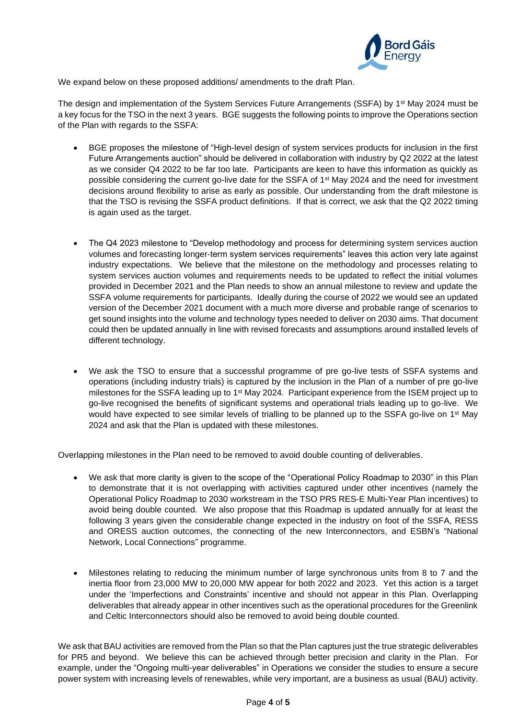

We expand below on these proposed additions/ amendments to the draft Plan.

The design and implementation of the System Services Future Arrangements (SSFA) by 1<sup>st</sup> May 2024 must be a key focus for the TSO in the next 3 years. BGE suggests the following points to improve the Operations section of the Plan with regards to the SSFA:

- BGE proposes the milestone of "High-level design of system services products for inclusion in the first Future Arrangements auction" should be delivered in collaboration with industry by Q2 2022 at the latest as we consider Q4 2022 to be far too late. Participants are keen to have this information as quickly as possible considering the current go-live date for the SSFA of 1<sup>st</sup> May 2024 and the need for investment decisions around flexibility to arise as early as possible. Our understanding from the draft milestone is that the TSO is revising the SSFA product definitions. If that is correct, we ask that the Q2 2022 timing is again used as the target.
- The Q4 2023 milestone to "Develop methodology and process for determining system services auction volumes and forecasting longer-term system services requirements" leaves this action very late against industry expectations. We believe that the milestone on the methodology and processes relating to system services auction volumes and requirements needs to be updated to reflect the initial volumes provided in December 2021 and the Plan needs to show an annual milestone to review and update the SSFA volume requirements for participants. Ideally during the course of 2022 we would see an updated version of the December 2021 document with a much more diverse and probable range of scenarios to get sound insights into the volume and technology types needed to deliver on 2030 aims. That document could then be updated annually in line with revised forecasts and assumptions around installed levels of different technology.
- We ask the TSO to ensure that a successful programme of pre go-live tests of SSFA systems and operations (including industry trials) is captured by the inclusion in the Plan of a number of pre go-live milestones for the SSFA leading up to 1<sup>st</sup> May 2024. Participant experience from the ISEM project up to go-live recognised the benefits of significant systems and operational trials leading up to go-live. We would have expected to see similar levels of trialling to be planned up to the SSFA go-live on 1<sup>st</sup> May 2024 and ask that the Plan is updated with these milestones.

Overlapping milestones in the Plan need to be removed to avoid double counting of deliverables.

- We ask that more clarity is given to the scope of the "Operational Policy Roadmap to 2030" in this Plan to demonstrate that it is not overlapping with activities captured under other incentives (namely the Operational Policy Roadmap to 2030 workstream in the TSO PR5 RES-E Multi-Year Plan incentives) to avoid being double counted. We also propose that this Roadmap is updated annually for at least the following 3 years given the considerable change expected in the industry on foot of the SSFA, RESS and ORESS auction outcomes, the connecting of the new Interconnectors, and ESBN's "National Network, Local Connections" programme.
- Milestones relating to reducing the minimum number of large synchronous units from 8 to 7 and the inertia floor from 23,000 MW to 20,000 MW appear for both 2022 and 2023. Yet this action is a target under the 'Imperfections and Constraints' incentive and should not appear in this Plan. Overlapping deliverables that already appear in other incentives such as the operational procedures for the Greenlink and Celtic Interconnectors should also be removed to avoid being double counted.

We ask that BAU activities are removed from the Plan so that the Plan captures just the true strategic deliverables for PR5 and beyond. We believe this can be achieved through better precision and clarity in the Plan. For example, under the "Ongoing multi-year deliverables" in Operations we consider the studies to ensure a secure power system with increasing levels of renewables, while very important, are a business as usual (BAU) activity.